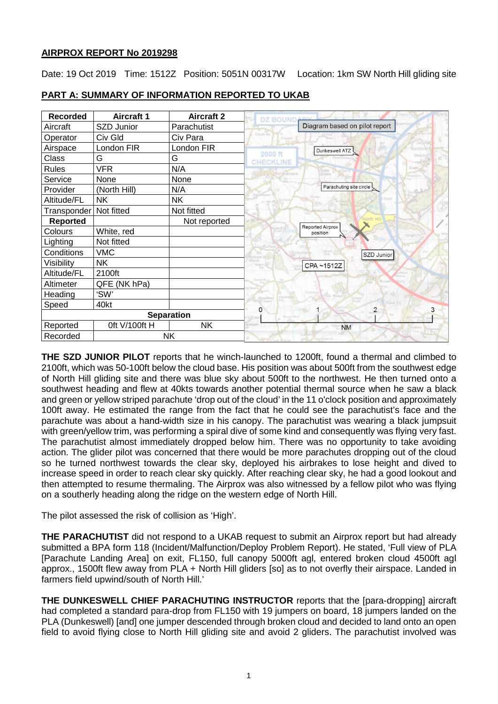# **AIRPROX REPORT No 2019298**

Date: 19 Oct 2019 Time: 1512Z Position: 5051N 00317W Location: 1km SW North Hill gliding site

| <b>Recorded</b>   | <b>Aircraft 1</b> | <b>Aircraft 2</b> |                               |
|-------------------|-------------------|-------------------|-------------------------------|
| Aircraft          | SZD Junior        | Parachutist       | Diagram based on pilot report |
| Operator          | Civ Gld           | Civ Para          | Croyte He                     |
| Airspace          | London FIR        | London FIR        | Dunkeswell ATZ                |
| Class             | G                 | G                 | 2000 ft<br>CHECKLINE          |
| <b>Rules</b>      | <b>VFR</b>        | N/A               |                               |
| Service           | None              | None              |                               |
| Provider          | (North Hill)      | N/A               | Parachuting site circle       |
| Altitude/FL       | <b>NK</b>         | <b>NK</b>         |                               |
| Transponder       | Not fitted        | Not fitted        |                               |
| <b>Reported</b>   |                   | Not reported      | Reported Airprox              |
| Colours           | White, red        |                   | position                      |
| Lighting          | Not fitted        |                   |                               |
| Conditions        | <b>VMC</b>        |                   | SZD Junior                    |
| Visibility        | <b>NK</b>         |                   | CPA~1512Z                     |
| Altitude/FL       | 2100ft            |                   |                               |
| Altimeter         | QFE (NK hPa)      |                   |                               |
| Heading           | 'SW'              |                   |                               |
| Speed             | 40kt              |                   | $\overline{\mathbf{c}}$<br>O  |
| <b>Separation</b> |                   |                   | Disnei                        |
| Reported          | Oft V/100ft H     | <b>NK</b>         | <b>NM</b>                     |
| Recorded          |                   | <b>NK</b>         |                               |

# **PART A: SUMMARY OF INFORMATION REPORTED TO UKAB**

**THE SZD JUNIOR PILOT** reports that he winch-launched to 1200ft, found a thermal and climbed to 2100ft, which was 50-100ft below the cloud base. His position was about 500ft from the southwest edge of North Hill gliding site and there was blue sky about 500ft to the northwest. He then turned onto a southwest heading and flew at 40kts towards another potential thermal source when he saw a black and green or yellow striped parachute 'drop out of the cloud' in the 11 o'clock position and approximately 100ft away. He estimated the range from the fact that he could see the parachutist's face and the parachute was about a hand-width size in his canopy. The parachutist was wearing a black jumpsuit with green/yellow trim, was performing a spiral dive of some kind and consequently was flying very fast. The parachutist almost immediately dropped below him. There was no opportunity to take avoiding action. The glider pilot was concerned that there would be more parachutes dropping out of the cloud so he turned northwest towards the clear sky, deployed his airbrakes to lose height and dived to increase speed in order to reach clear sky quickly. After reaching clear sky, he had a good lookout and then attempted to resume thermaling. The Airprox was also witnessed by a fellow pilot who was flying on a southerly heading along the ridge on the western edge of North Hill.

The pilot assessed the risk of collision as 'High'.

**THE PARACHUTIST** did not respond to a UKAB request to submit an Airprox report but had already submitted a BPA form 118 (Incident/Malfunction/Deploy Problem Report). He stated, 'Full view of PLA [Parachute Landing Area] on exit, FL150, full canopy 5000ft agl, entered broken cloud 4500ft agl approx., 1500ft flew away from PLA + North Hill gliders [so] as to not overfly their airspace. Landed in farmers field upwind/south of North Hill.'

**THE DUNKESWELL CHIEF PARACHUTING INSTRUCTOR** reports that the [para-dropping] aircraft had completed a standard para-drop from FL150 with 19 jumpers on board, 18 jumpers landed on the PLA (Dunkeswell) [and] one jumper descended through broken cloud and decided to land onto an open field to avoid flying close to North Hill gliding site and avoid 2 gliders. The parachutist involved was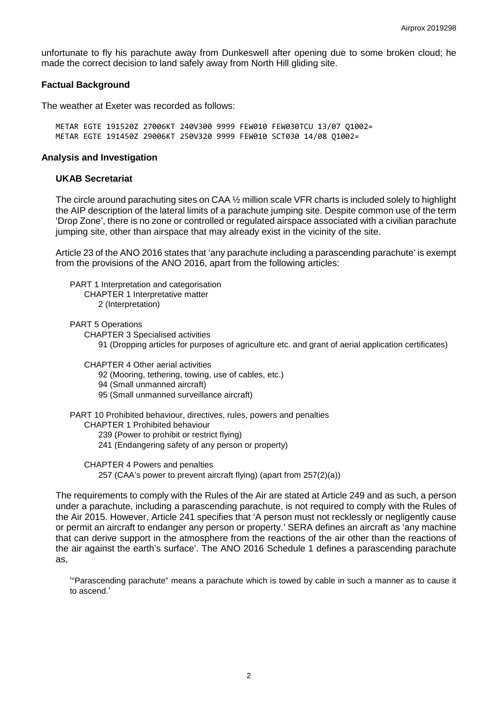unfortunate to fly his parachute away from Dunkeswell after opening due to some broken cloud; he made the correct decision to land safely away from North Hill gliding site.

### **Factual Background**

The weather at Exeter was recorded as follows:

METAR EGTE 191520Z 27006KT 240V300 9999 FEW010 FEW030TCU 13/07 Q1002= METAR EGTE 191450Z 29006KT 250V320 9999 FEW010 SCT030 14/08 Q1002=

### **Analysis and Investigation**

### **UKAB Secretariat**

The circle around parachuting sites on CAA ½ million scale VFR charts is included solely to highlight the AIP description of the lateral limits of a parachute jumping site. Despite common use of the term 'Drop Zone', there is no zone or controlled or regulated airspace associated with a civilian parachute jumping site, other than airspace that may already exist in the vicinity of the site.

Article 23 of the ANO 2016 states that 'any parachute including a parascending parachute' is exempt from the provisions of the ANO 2016, apart from the following articles:

PART 1 Interpretation and categorisation CHAPTER 1 Interpretative matter 2 (Interpretation)

PART 5 Operations

CHAPTER 3 Specialised activities

91 (Dropping articles for purposes of agriculture etc. and grant of aerial application certificates)

CHAPTER 4 Other aerial activities

92 (Mooring, tethering, towing, use of cables, etc.)

- 94 (Small unmanned aircraft)
- 95 (Small unmanned surveillance aircraft)

PART 10 Prohibited behaviour, directives, rules, powers and penalties

CHAPTER 1 Prohibited behaviour

239 (Power to prohibit or restrict flying)

241 (Endangering safety of any person or property)

CHAPTER 4 Powers and penalties 257 (CAA's power to prevent aircraft flying) (apart from 257(2)(a))

The requirements to comply with the Rules of the Air are stated at Article 249 and as such, a person under a parachute, including a parascending parachute, is not required to comply with the Rules of the Air 2015. However, Article 241 specifies that 'A person must not recklessly or negligently cause or permit an aircraft to endanger any person or property.' SERA defines an aircraft as 'any machine that can derive support in the atmosphere from the reactions of the air other than the reactions of the air against the earth's surface'. The ANO 2016 Schedule 1 defines a parascending parachute as,

'"Parascending parachute" means a parachute which is towed by cable in such a manner as to cause it to ascend.'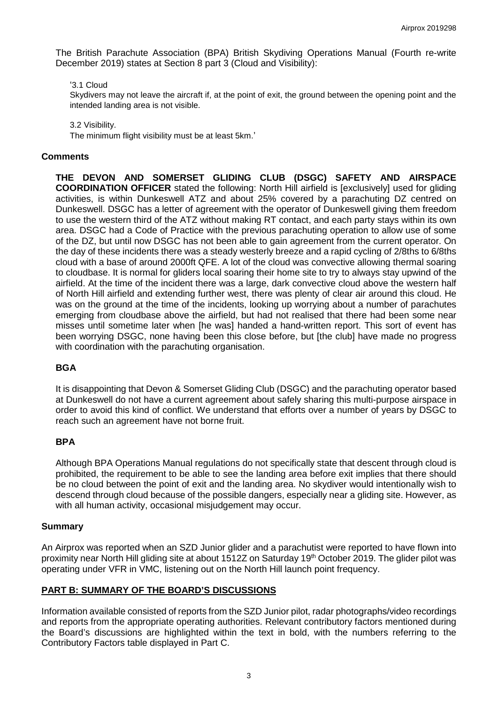The British Parachute Association (BPA) British Skydiving Operations Manual (Fourth re-write December 2019) states at Section 8 part 3 (Cloud and Visibility):

### '3.1 Cloud

Skydivers may not leave the aircraft if, at the point of exit, the ground between the opening point and the intended landing area is not visible.

3.2 Visibility.

The minimum flight visibility must be at least 5km.'

### **Comments**

**THE DEVON AND SOMERSET GLIDING CLUB (DSGC) SAFETY AND AIRSPACE COORDINATION OFFICER** stated the following: North Hill airfield is [exclusively] used for gliding activities, is within Dunkeswell ATZ and about 25% covered by a parachuting DZ centred on Dunkeswell. DSGC has a letter of agreement with the operator of Dunkeswell giving them freedom to use the western third of the ATZ without making RT contact, and each party stays within its own area. DSGC had a Code of Practice with the previous parachuting operation to allow use of some of the DZ, but until now DSGC has not been able to gain agreement from the current operator. On the day of these incidents there was a steady westerly breeze and a rapid cycling of 2/8ths to 6/8ths cloud with a base of around 2000ft QFE. A lot of the cloud was convective allowing thermal soaring to cloudbase. It is normal for gliders local soaring their home site to try to always stay upwind of the airfield. At the time of the incident there was a large, dark convective cloud above the western half of North Hill airfield and extending further west, there was plenty of clear air around this cloud. He was on the ground at the time of the incidents, looking up worrying about a number of parachutes emerging from cloudbase above the airfield, but had not realised that there had been some near misses until sometime later when [he was] handed a hand-written report. This sort of event has been worrying DSGC, none having been this close before, but [the club] have made no progress with coordination with the parachuting organisation.

# **BGA**

It is disappointing that Devon & Somerset Gliding Club (DSGC) and the parachuting operator based at Dunkeswell do not have a current agreement about safely sharing this multi-purpose airspace in order to avoid this kind of conflict. We understand that efforts over a number of years by DSGC to reach such an agreement have not borne fruit.

# **BPA**

Although BPA Operations Manual regulations do not specifically state that descent through cloud is prohibited, the requirement to be able to see the landing area before exit implies that there should be no cloud between the point of exit and the landing area. No skydiver would intentionally wish to descend through cloud because of the possible dangers, especially near a gliding site. However, as with all human activity, occasional misjudgement may occur.

### **Summary**

An Airprox was reported when an SZD Junior glider and a parachutist were reported to have flown into proximity near North Hill gliding site at about 1512Z on Saturday 19<sup>th</sup> October 2019. The glider pilot was operating under VFR in VMC, listening out on the North Hill launch point frequency.

# **PART B: SUMMARY OF THE BOARD'S DISCUSSIONS**

Information available consisted of reports from the SZD Junior pilot, radar photographs/video recordings and reports from the appropriate operating authorities. Relevant contributory factors mentioned during the Board's discussions are highlighted within the text in bold, with the numbers referring to the Contributory Factors table displayed in Part C.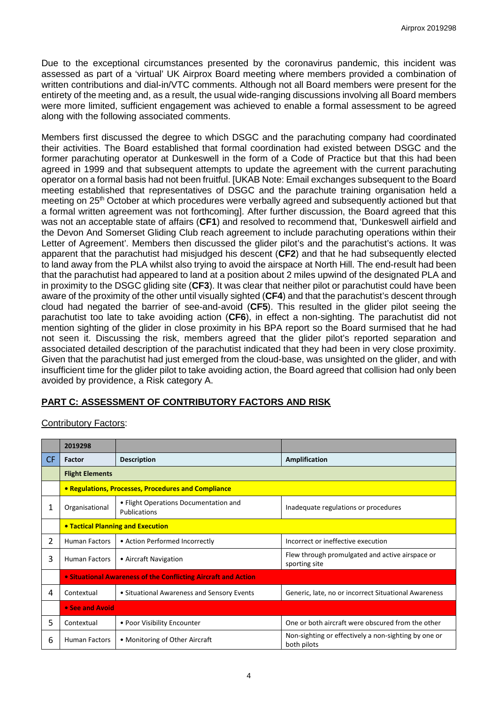Due to the exceptional circumstances presented by the coronavirus pandemic, this incident was assessed as part of a 'virtual' UK Airprox Board meeting where members provided a combination of written contributions and dial-in/VTC comments. Although not all Board members were present for the entirety of the meeting and, as a result, the usual wide-ranging discussions involving all Board members were more limited, sufficient engagement was achieved to enable a formal assessment to be agreed along with the following associated comments.

Members first discussed the degree to which DSGC and the parachuting company had coordinated their activities. The Board established that formal coordination had existed between DSGC and the former parachuting operator at Dunkeswell in the form of a Code of Practice but that this had been agreed in 1999 and that subsequent attempts to update the agreement with the current parachuting operator on a formal basis had not been fruitful. [UKAB Note: Email exchanges subsequent to the Board meeting established that representatives of DSGC and the parachute training organisation held a meeting on 25<sup>th</sup> October at which procedures were verbally agreed and subsequently actioned but that a formal written agreement was not forthcoming]. After further discussion, the Board agreed that this was not an acceptable state of affairs (**CF1**) and resolved to recommend that, 'Dunkeswell airfield and the Devon And Somerset Gliding Club reach agreement to include parachuting operations within their Letter of Agreement'. Members then discussed the glider pilot's and the parachutist's actions. It was apparent that the parachutist had misjudged his descent (**CF2**) and that he had subsequently elected to land away from the PLA whilst also trying to avoid the airspace at North Hill. The end-result had been that the parachutist had appeared to land at a position about 2 miles upwind of the designated PLA and in proximity to the DSGC gliding site (**CF3**). It was clear that neither pilot or parachutist could have been aware of the proximity of the other until visually sighted (**CF4**) and that the parachutist's descent through cloud had negated the barrier of see-and-avoid (**CF5**). This resulted in the glider pilot seeing the parachutist too late to take avoiding action (**CF6**), in effect a non-sighting. The parachutist did not mention sighting of the glider in close proximity in his BPA report so the Board surmised that he had not seen it. Discussing the risk, members agreed that the glider pilot's reported separation and associated detailed description of the parachutist indicated that they had been in very close proximity. Given that the parachutist had just emerged from the cloud-base, was unsighted on the glider, and with insufficient time for the glider pilot to take avoiding action, the Board agreed that collision had only been avoided by providence, a Risk category A.

# **PART C: ASSESSMENT OF CONTRIBUTORY FACTORS AND RISK**

| <b>Contributory Factors:</b> |
|------------------------------|
|------------------------------|

|     | 2019298                                                        |                                                       |                                                                     |  |  |  |  |  |  |
|-----|----------------------------------------------------------------|-------------------------------------------------------|---------------------------------------------------------------------|--|--|--|--|--|--|
| CF. | Factor                                                         | <b>Description</b>                                    | <b>Amplification</b>                                                |  |  |  |  |  |  |
|     | <b>Flight Elements</b>                                         |                                                       |                                                                     |  |  |  |  |  |  |
|     | • Regulations, Processes, Procedures and Compliance            |                                                       |                                                                     |  |  |  |  |  |  |
| 1   | Organisational                                                 | • Flight Operations Documentation and<br>Publications | Inadequate regulations or procedures                                |  |  |  |  |  |  |
|     | <b>• Tactical Planning and Execution</b>                       |                                                       |                                                                     |  |  |  |  |  |  |
| 2   | <b>Human Factors</b>                                           | • Action Performed Incorrectly                        | Incorrect or ineffective execution                                  |  |  |  |  |  |  |
| 3   | <b>Human Factors</b>                                           | • Aircraft Navigation                                 | Flew through promulgated and active airspace or<br>sporting site    |  |  |  |  |  |  |
|     | • Situational Awareness of the Conflicting Aircraft and Action |                                                       |                                                                     |  |  |  |  |  |  |
| 4   | Contextual                                                     | • Situational Awareness and Sensory Events            | Generic, late, no or incorrect Situational Awareness                |  |  |  |  |  |  |
|     | • See and Avoid                                                |                                                       |                                                                     |  |  |  |  |  |  |
| 5.  | Contextual                                                     | • Poor Visibility Encounter                           | One or both aircraft were obscured from the other                   |  |  |  |  |  |  |
| 6   | <b>Human Factors</b>                                           | • Monitoring of Other Aircraft                        | Non-sighting or effectively a non-sighting by one or<br>both pilots |  |  |  |  |  |  |